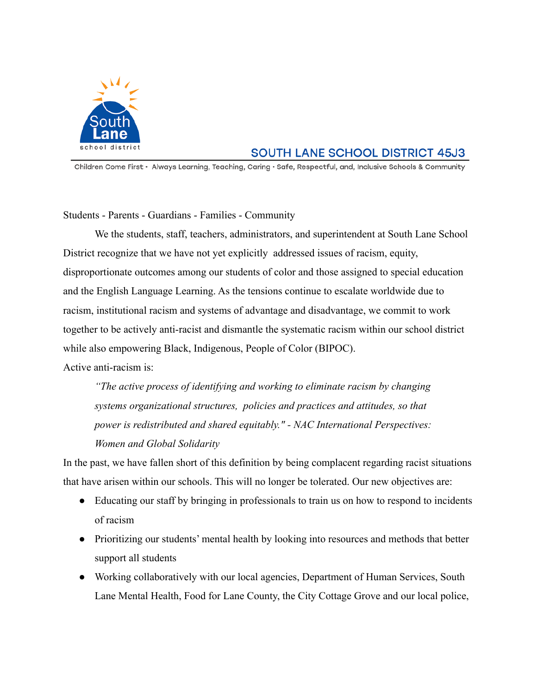

## **SOUTH LANE SCHOOL DISTRICT 45J3**

Children Come First · Always Learning, Teaching, Caring · Safe, Respectful, and, Inclusive Schools & Community

Students - Parents - Guardians - Families - Community

We the students, staff, teachers, administrators, and superintendent at South Lane School District recognize that we have not yet explicitly addressed issues of racism, equity, disproportionate outcomes among our students of color and those assigned to special education and the English Language Learning. As the tensions continue to escalate worldwide due to racism, institutional racism and systems of advantage and disadvantage, we commit to work together to be actively anti-racist and dismantle the systematic racism within our school district while also empowering Black, Indigenous, People of Color (BIPOC). Active anti-racism is:

*"The active process of identifying and working to eliminate racism by changing systems organizational structures, policies and practices and attitudes, so that power is redistributed and shared equitably." - NAC International Perspectives: Women and Global Solidarity*

In the past, we have fallen short of this definition by being complacent regarding racist situations that have arisen within our schools. This will no longer be tolerated. Our new objectives are:

- Educating our staff by bringing in professionals to train us on how to respond to incidents of racism
- Prioritizing our students' mental health by looking into resources and methods that better support all students
- Working collaboratively with our local agencies, Department of Human Services, South Lane Mental Health, Food for Lane County, the City Cottage Grove and our local police,